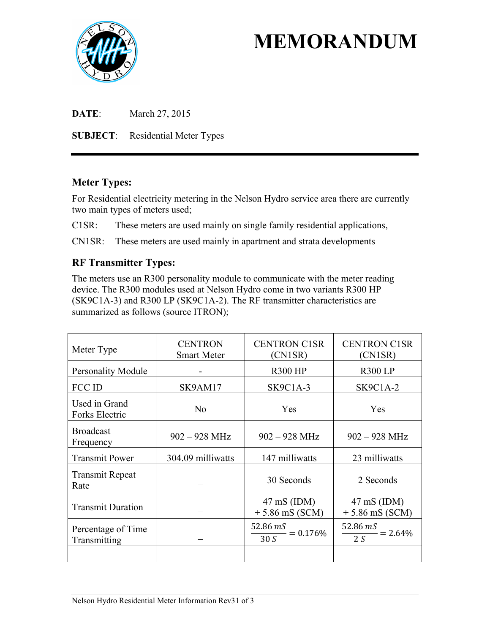

# **MEMORANDUM**

**DATE**: March 27, 2015

**SUBJECT**: Residential Meter Types

### **Meter Types:**

For Residential electricity metering in the Nelson Hydro service area there are currently two main types of meters used;

C1SR: These meters are used mainly on single family residential applications,

CN1SR: These meters are used mainly in apartment and strata developments

#### **RF Transmitter Types:**

The meters use an R300 personality module to communicate with the meter reading device. The R300 modules used at Nelson Hydro come in two variants R300 HP (SK9C1A-3) and R300 LP (SK9C1A-2). The RF transmitter characteristics are summarized as follows (source ITRON);

| Meter Type                         | <b>CENTRON</b><br><b>Smart Meter</b> | <b>CENTRON C1SR</b><br>(CN1SR)                 | <b>CENTRON C1SR</b><br>(CN1SR)            |
|------------------------------------|--------------------------------------|------------------------------------------------|-------------------------------------------|
| <b>Personality Module</b>          |                                      | <b>R300 HP</b>                                 | <b>R300 LP</b>                            |
| FCC ID                             | SK9AM17                              | SK9C1A-3                                       | $SK9C1A-2$                                |
| Used in Grand<br>Forks Electric    | No                                   | Yes                                            | Yes                                       |
| <b>Broadcast</b><br>Frequency      | $902 - 928$ MHz                      | $902 - 928$ MHz                                | $902 - 928$ MHz                           |
| <b>Transmit Power</b>              | 304.09 milliwatts                    | 147 milliwatts                                 | 23 milliwatts                             |
| <b>Transmit Repeat</b><br>Rate     |                                      | 30 Seconds                                     | 2 Seconds                                 |
| <b>Transmit Duration</b>           |                                      | $47 \text{ mS}$ (IDM)<br>$+5.86$ mS (SCM)      | $47 \text{ mS}$ (IDM)<br>$+5.86$ mS (SCM) |
| Percentage of Time<br>Transmitting |                                      | 52.86 mS<br>$\frac{1}{30 \text{ s}} = 0.176\%$ | 52.86 mS<br>$= 2.64\%$<br>$\overline{2S}$ |
|                                    |                                      |                                                |                                           |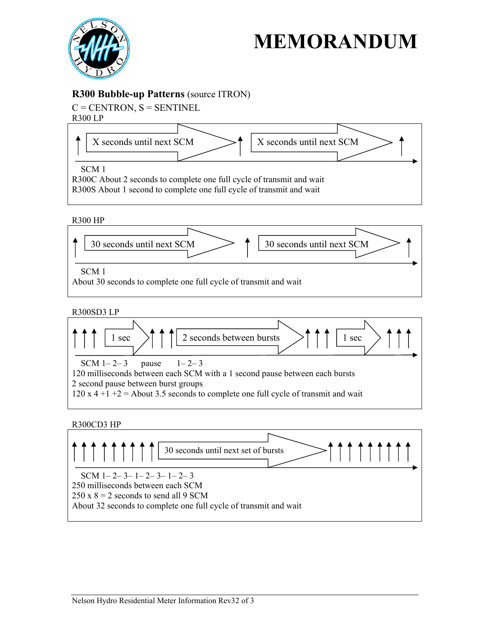



#### **R300 Bubble-up Patterns** (source ITRON)

 $C = CENTRON, S = SENTINEL$ 

R300 LP



R300 HP







R300CD3 HP